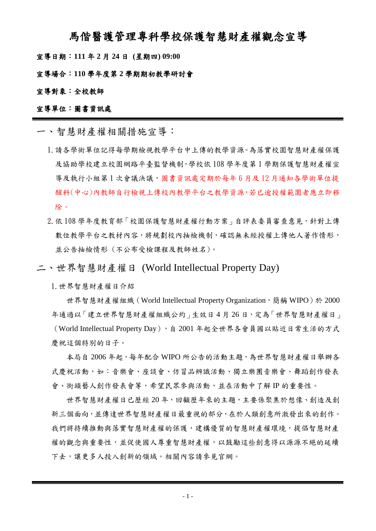## 馬偕醫護管理專科學校保護智慧財產權觀念宣導

宣導日期:**111** 年 **2** 月 **24** 日 **(**星期四**) 09:00**

宣導場合:**110** 學年度第 **2** 學期期初教學研討會

#### 宣導對象:全校教師

### 宣導單位:圖書資訊處

一、智慧財產權相關措施宣導:

- 1.請各學術單位記得每學期檢視教學平台中上傳的教學資源。為落實校園智慧財產權保護 及協助學校建立校園網路平臺監督機制,學校依 108 學年度第 1 學期保護智慧財產權宣 導及執行小組第 1 次會議決議,圖書資訊處定期於每年 6 月及 12 月通知各學術單位提 醒科(中心)內教師自行檢視上傳校內教學平台之教學資源,若已逾授權範圍者應立即移 除。
- 2.依 108 學年度教育部「校園保護智慧財產權行動方案」自評表委員審查意見,針對上傳 數位教學平台之教材內容,將規劃校內抽檢機制,確認無未經授權上傳他人著作情形, 並公告抽檢情形 (不公布受檢課程及教師姓名)。
- 二、世界智慧財產權日 (World Intellectual Property Day)

1.世界智慧財產權日介紹

世界智慧財產權組織 (World Intellectual Property Organization,簡稱 WIPO)於 2000 年通過以「建立世界智慧財產權組織公約」生效日4月26日,定為「世界智慧財產權日」 (World Intellectual Property Day),自 2001 年起全世界各會員國以貼近日常生活的方式 慶祝這個特別的日子。

本局自 2006 年起,每年配合 WIPO 所公告的活動主題,為世界智慧財產權日舉辦各 式慶祝活動,如:音樂會、座談會、仿冒品辨識活動、獨立樂團音樂會、舞蹈創作發表 會、街頭藝人創作發表會等,希望民眾參與活動,並在活動中了解 IP 的重要性。

世界智慧財產權日已歷經 20 年,回顧歷年來的主題,主要係聚焦於想像、創造及創 新三個面向,並傳達世界智慧財產權日最重視的部分,在於人類創意所激發出來的創作。 我們將持續推動與落實智慧財產權的保護,建構優質的智慧財產權環境,提倡智慧財產 權的觀念與重要性,並促使國人尊重智慧財產權,以鼓勵這些創意得以源源不絕的延續 下去,讓更多人投入創新的領域。相關內容請參見官網。

- 1 -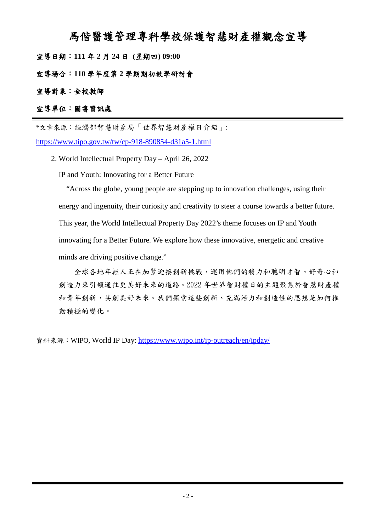## 馬偕醫護管理專科學校保護智慧財產權觀念宣導

宣導日期:**111** 年 **2** 月 **24** 日 **(**星期四**) 09:00**

宣導場合:**110** 學年度第 **2** 學期期初教學研討會

## 宣導對象:全校教師

## 宣導單位:圖書資訊處

\*文章來源:經濟部智慧財產局「世界智慧財產權日介紹」:

<https://www.tipo.gov.tw/tw/cp-918-890854-d31a5-1.html>

2. World Intellectual Property Day – April 26, 2022

IP and Youth: Innovating for a Better Future

"Across the globe, young people are stepping up to innovation challenges, using their energy and ingenuity, their curiosity and creativity to steer a course towards a better future. This year, the World Intellectual Property Day 2022's theme focuses on IP and Youth innovating for a Better Future. We explore how these innovative, energetic and creative minds are driving positive change."

全球各地年輕人正在加緊迎接創新挑戰,運用他們的精力和聰明才智、好奇心和 創造力來引領通往更美好未來的道路。2022 年世界智財權日的主題聚焦於智慧財產權 和青年創新,共創美好未來。我們探索這些創新、充滿活力和創造性的思想是如何推 動積極的變化。

資料來源: WIPO, World IP Day:<https://www.wipo.int/ip-outreach/en/ipday/>